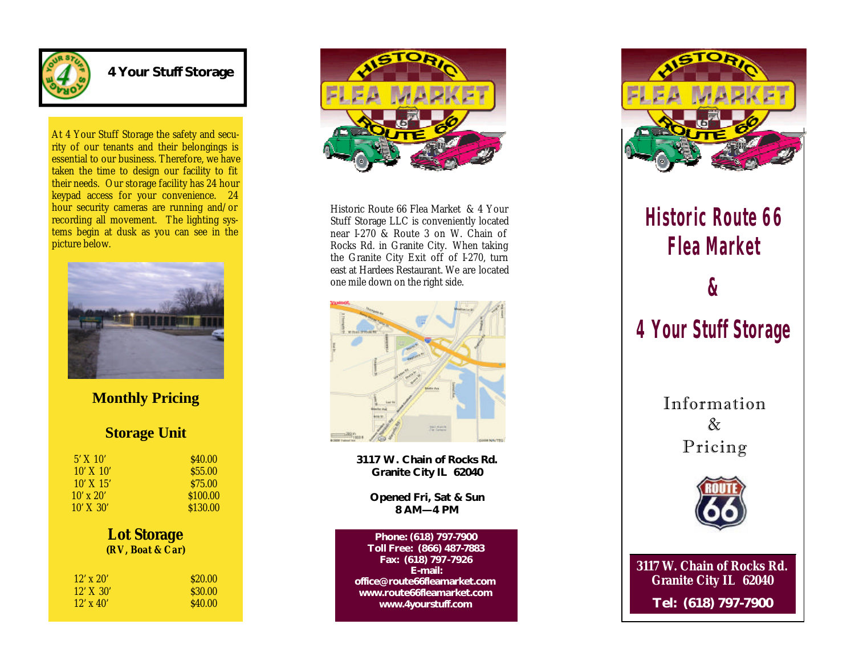

# **4 Your Stuff Storage**

At 4 Your Stuff Storage the safety and security of our tenants and their belongings is essential to our business. Therefore, we have taken the time to design our facility to fit their needs. Our storage facility has 24 hour keypad access for your convenience. 24 hour security cameras are running and/or recording all movement. The lighting systems begin at dusk as you can see in the picture below.



### **Monthly Pricing**

### **Storage Unit**

| $5'$ X 10'       | \$40.00  |
|------------------|----------|
| $10'$ X $10'$    | \$55.00  |
| $10'$ X $15'$    | \$75.00  |
| $10' \times 20'$ | \$100.00 |
| $10'$ X $30'$    | \$130.00 |

### **Lot Storage** *(RV, Boat & Car)*

| $12' \times 20'$ | \$20.00 |
|------------------|---------|
| $12' \times 30'$ | \$30.00 |
| $12' \times 40'$ | \$40.00 |



Historic Route 66 Flea Market & 4 Your Stuff Storage LLC is conveniently located near I-270 & Route 3 on W. Chain of Rocks Rd. in Granite City. When taking the Granite City Exit off of I-270, turn east at Hardees Restaurant. We are located one mile down on the right side.



**3117 W. Chain of Rocks Rd. Granite City IL 62040**

**Opened Fri, Sat & Sun 8 AM—4 PM**

**Phone: (618) 797-7900 Toll Free: (866) 487-7883 Fax: (618) 797-7926 E-mail: office@route66fleamarket.com www.route66fleamarket.com www.4yourstuff.com**